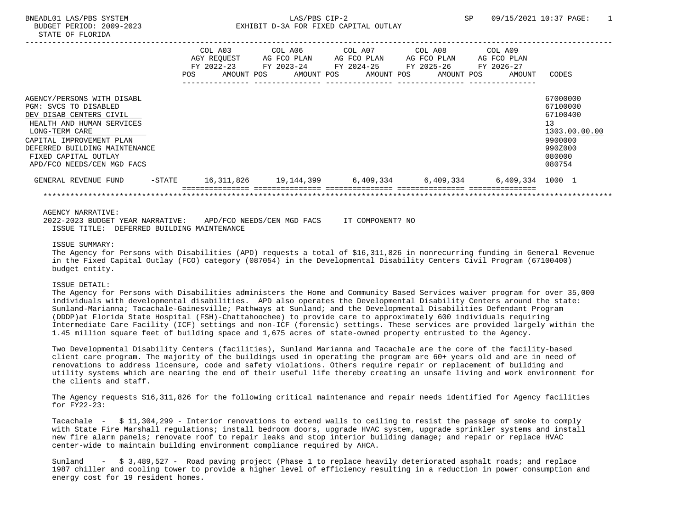|                               |           |     | COL A03     | COL A06 COL A07 |  |             | COL A08 COL A09                                                     |                  |               |
|-------------------------------|-----------|-----|-------------|-----------------|--|-------------|---------------------------------------------------------------------|------------------|---------------|
|                               |           |     | AGY REOUEST | AG FCO PLAN     |  | AG FCO PLAN | AG FCO PLAN                                                         | AG FCO PLAN      |               |
|                               |           |     | FY 2022-23  |                 |  |             |                                                                     |                  |               |
|                               |           | POS | AMOUNT POS  | AMOUNT POS      |  | AMOUNT POS  | AMOUNT POS                                                          | AMOUNT           | CODES         |
|                               |           |     |             |                 |  |             |                                                                     |                  |               |
| AGENCY/PERSONS WITH DISABL    |           |     |             |                 |  |             |                                                                     |                  | 67000000      |
| PGM: SVCS TO DISABLED         |           |     |             |                 |  |             |                                                                     |                  | 67100000      |
| DEV DISAB CENTERS CIVIL       |           |     |             |                 |  |             |                                                                     |                  | 67100400      |
| HEALTH AND HUMAN SERVICES     |           |     |             |                 |  |             |                                                                     |                  | 13            |
| LONG-TERM CARE                |           |     |             |                 |  |             |                                                                     |                  | 1303.00.00.00 |
| CAPITAL IMPROVEMENT PLAN      |           |     |             |                 |  |             |                                                                     |                  | 9900000       |
| DEFERRED BUILDING MAINTENANCE |           |     |             |                 |  |             |                                                                     |                  | 990Z000       |
| FIXED CAPITAL OUTLAY          |           |     |             |                 |  |             |                                                                     |                  | 080000        |
| APD/FCO NEEDS/CEN MGD FACS    |           |     |             |                 |  |             |                                                                     |                  | 080754        |
| GENERAL REVENUE FUND          | $-$ STATE |     |             |                 |  |             | 16,311,826          19,144,399          6,409,334         6,409,334 | 6,409,334 1000 1 |               |
|                               |           |     |             |                 |  |             |                                                                     |                  |               |
|                               |           |     |             |                 |  |             |                                                                     |                  |               |

AGENCY NARRATIVE:

2022-2023 BUDGET YEAR NARRATIVE: APD/FCO NEEDS/CEN MGD FACS IT COMPONENT? NO ISSUE TITLE: DEFERRED BUILDING MAINTENANCE

## ISSUE SUMMARY:

The Agency for Persons with Disabilities (APD) requests a total of \$16,311,826 in nonrecurring funding in General Revenue in the Fixed Capital Outlay (FCO) category (087054) in the Developmental Disability Centers Civil Program (67100400) budget entity.

## ISSUE DETAIL:

The Agency for Persons with Disabilities administers the Home and Community Based Services waiver program for over 35,000 individuals with developmental disabilities. APD also operates the Developmental Disability Centers around the state: Sunland-Marianna; Tacachale-Gainesville; Pathways at Sunland; and the Developmental Disabilities Defendant Program (DDDP)at Florida State Hospital (FSH)-Chattahoochee) to provide care to approximately 600 individuals requiring Intermediate Care Facility (ICF) settings and non-ICF (forensic) settings. These services are provided largely within the 1.45 million square feet of building space and 1,675 acres of state-owned property entrusted to the Agency.

Two Developmental Disability Centers (facilities), Sunland Marianna and Tacachale are the core of the facility-based client care program. The majority of the buildings used in operating the program are 60+ years old and are in need of renovations to address licensure, code and safety violations. Others require repair or replacement of building and utility systems which are nearing the end of their useful life thereby creating an unsafe living and work environment for the clients and staff.

The Agency requests \$16,311,826 for the following critical maintenance and repair needs identified for Agency facilities for FY22-23:

Tacachale - \$ 11,304,299 - Interior renovations to extend walls to ceiling to resist the passage of smoke to comply with State Fire Marshall regulations; install bedroom doors, upgrade HVAC system, upgrade sprinkler systems and install new fire alarm panels; renovate roof to repair leaks and stop interior building damage; and repair or replace HVAC center-wide to maintain building environment compliance required by AHCA.

Sunland - \$ 3,489,527 - Road paving project (Phase 1 to replace heavily deteriorated asphalt roads; and replace 1987 chiller and cooling tower to provide a higher level of efficiency resulting in a reduction in power consumption and energy cost for 19 resident homes.